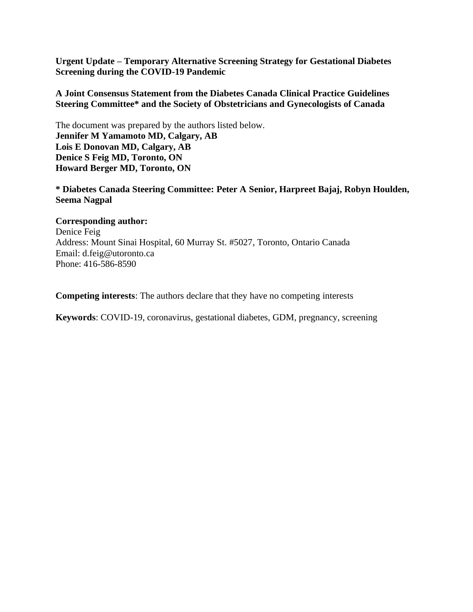**Urgent Update – Temporary Alternative Screening Strategy for Gestational Diabetes Screening during the COVID-19 Pandemic**

### **A Joint Consensus Statement from the Diabetes Canada Clinical Practice Guidelines Steering Committee\* and the Society of Obstetricians and Gynecologists of Canada**

The document was prepared by the authors listed below. **Jennifer M Yamamoto MD, Calgary, AB Lois E Donovan MD, Calgary, AB Denice S Feig MD, Toronto, ON Howard Berger MD, Toronto, ON**

**\* Diabetes Canada Steering Committee: Peter A Senior, Harpreet Bajaj, Robyn Houlden, Seema Nagpal**

### **Corresponding author:**

Denice Feig Address: Mount Sinai Hospital, 60 Murray St. #5027, Toronto, Ontario Canada Email: d.feig@utoronto.ca Phone: 416-586-8590

**Competing interests**: The authors declare that they have no competing interests

**Keywords**: COVID-19, coronavirus, gestational diabetes, GDM, pregnancy, screening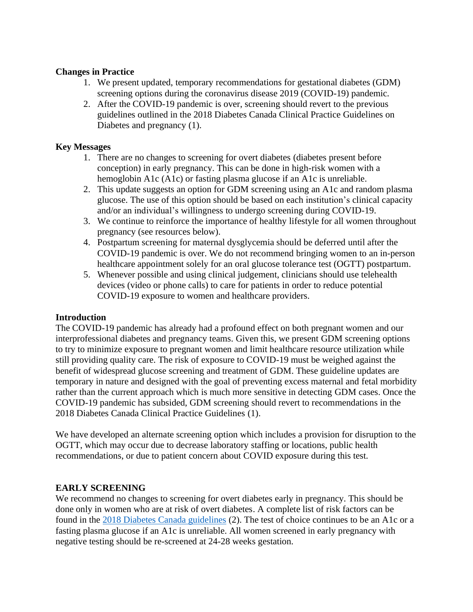## **Changes in Practice**

- 1. We present updated, temporary recommendations for gestational diabetes (GDM) screening options during the coronavirus disease 2019 (COVID-19) pandemic.
- 2. After the COVID-19 pandemic is over, screening should revert to the previous guidelines outlined in the 2018 Diabetes Canada Clinical Practice Guidelines on Diabetes and pregnancy (1).

### **Key Messages**

- 1. There are no changes to screening for overt diabetes (diabetes present before conception) in early pregnancy. This can be done in high-risk women with a hemoglobin A1c (A1c) or fasting plasma glucose if an A1c is unreliable.
- 2. This update suggests an option for GDM screening using an A1c and random plasma glucose. The use of this option should be based on each institution's clinical capacity and/or an individual's willingness to undergo screening during COVID-19.
- 3. We continue to reinforce the importance of healthy lifestyle for all women throughout pregnancy (see resources below).
- 4. Postpartum screening for maternal dysglycemia should be deferred until after the COVID-19 pandemic is over. We do not recommend bringing women to an in-person healthcare appointment solely for an oral glucose tolerance test (OGTT) postpartum.
- 5. Whenever possible and using clinical judgement, clinicians should use telehealth devices (video or phone calls) to care for patients in order to reduce potential COVID-19 exposure to women and healthcare providers.

### **Introduction**

The COVID-19 pandemic has already had a profound effect on both pregnant women and our interprofessional diabetes and pregnancy teams. Given this, we present GDM screening options to try to minimize exposure to pregnant women and limit healthcare resource utilization while still providing quality care. The risk of exposure to COVID-19 must be weighed against the benefit of widespread glucose screening and treatment of GDM. These guideline updates are temporary in nature and designed with the goal of preventing excess maternal and fetal morbidity rather than the current approach which is much more sensitive in detecting GDM cases. Once the COVID-19 pandemic has subsided, GDM screening should revert to recommendations in the 2018 Diabetes Canada Clinical Practice Guidelines (1).

We have developed an alternate screening option which includes a provision for disruption to the OGTT, which may occur due to decrease laboratory staffing or locations, public health recommendations, or due to patient concern about COVID exposure during this test.

### **EARLY SCREENING**

We recommend no changes to screening for overt diabetes early in pregnancy. This should be done only in women who are at risk of overt diabetes. A complete list of risk factors can be found in the [2018 Diabetes Canada guidelines](https://www.canadianjournalofdiabetes.com/article/S1499-2671(17)30814-6/pdf) (2). The test of choice continues to be an A1c or a fasting plasma glucose if an A1c is unreliable. All women screened in early pregnancy with negative testing should be re-screened at 24-28 weeks gestation.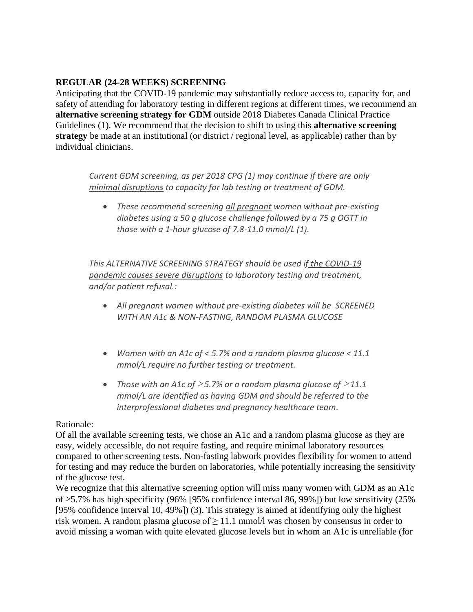## **REGULAR (24-28 WEEKS) SCREENING**

Anticipating that the COVID-19 pandemic may substantially reduce access to, capacity for, and safety of attending for laboratory testing in different regions at different times, we recommend an **alternative screening strategy for GDM** outside 2018 Diabetes Canada Clinical Practice Guidelines (1). We recommend that the decision to shift to using this **alternative screening strategy** be made at an institutional (or district / regional level, as applicable) rather than by individual clinicians.

*Current GDM screening, as per 2018 CPG (1) may continue if there are only minimal disruptions to capacity for lab testing or treatment of GDM.* 

• *These recommend screening all pregnant women without pre-existing diabetes using a 50 g glucose challenge followed by a 75 g OGTT in those with a 1-hour glucose of 7.8-11.0 mmol/L (1).* 

*This ALTERNATIVE SCREENING STRATEGY should be used if the COVID-19 pandemic causes severe disruptions to laboratory testing and treatment, and/or patient refusal.:*

- *All pregnant women without pre-existing diabetes will be SCREENED WITH AN A1c & NON-FASTING, RANDOM PLASMA GLUCOSE*
- *Women with an A1c of < 5.7% and a random plasma glucose < 11.1 mmol/L require no further testing or treatment.*
- Those with an A1c of  $\geq$  5.7% or a random plasma glucose of  $\geq$  11.1 *mmol/L are identified as having GDM and should be referred to the interprofessional diabetes and pregnancy healthcare team.*

#### Rationale:

Of all the available screening tests, we chose an A1c and a random plasma glucose as they are easy, widely accessible, do not require fasting, and require minimal laboratory resources compared to other screening tests. Non-fasting labwork provides flexibility for women to attend for testing and may reduce the burden on laboratories, while potentially increasing the sensitivity of the glucose test.

We recognize that this alternative screening option will miss many women with GDM as an A1c of  $\geq$ 5.7% has high specificity (96% [95% confidence interval 86, 99%]) but low sensitivity (25%) [95% confidence interval 10, 49%]) (3). This strategy is aimed at identifying only the highest risk women. A random plasma glucose of  $\geq 11.1$  mmol/l was chosen by consensus in order to avoid missing a woman with quite elevated glucose levels but in whom an A1c is unreliable (for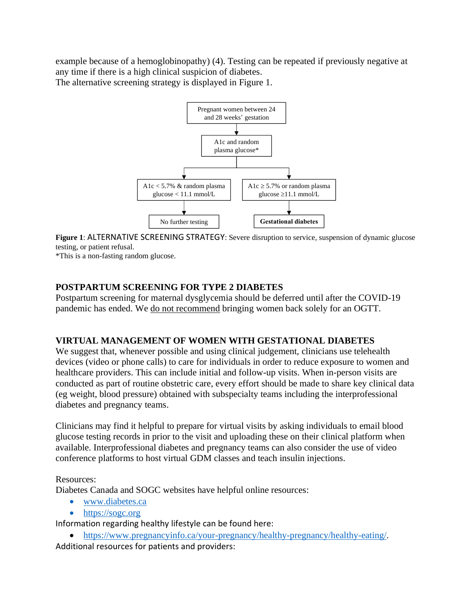example because of a hemoglobinopathy) (4). Testing can be repeated if previously negative at any time if there is a high clinical suspicion of diabetes. The alternative screening strategy is displayed in Figure 1.



**Figure 1**: ALTERNATIVE SCREENING STRATEGY: Severe disruption to service, suspension of dynamic glucose testing, or patient refusal.

\*This is a non-fasting random glucose.

## **POSTPARTUM SCREENING FOR TYPE 2 DIABETES**

Postpartum screening for maternal dysglycemia should be deferred until after the COVID-19 pandemic has ended. We do not recommend bringing women back solely for an OGTT.

## **VIRTUAL MANAGEMENT OF WOMEN WITH GESTATIONAL DIABETES**

We suggest that, whenever possible and using clinical judgement, clinicians use telehealth devices (video or phone calls) to care for individuals in order to reduce exposure to women and healthcare providers. This can include initial and follow-up visits. When in-person visits are conducted as part of routine obstetric care, every effort should be made to share key clinical data (eg weight, blood pressure) obtained with subspecialty teams including the interprofessional diabetes and pregnancy teams.

Clinicians may find it helpful to prepare for virtual visits by asking individuals to email blood glucose testing records in prior to the visit and uploading these on their clinical platform when available. Interprofessional diabetes and pregnancy teams can also consider the use of video conference platforms to host virtual GDM classes and teach insulin injections.

### Resources:

Diabetes Canada and SOGC websites have helpful online resources:

- [www.diabetes.ca](http://www.diabetes.ca/)
- [https://sogc.org](https://sogc.org/)

Information regarding healthy lifestyle can be found here:

• [https://www.pregnancyinfo.ca/your-pregnancy/healthy-pregnancy/healthy-eating/.](https://www.pregnancyinfo.ca/your-pregnancy/healthy-pregnancy/healthy-eating/)

Additional resources for patients and providers: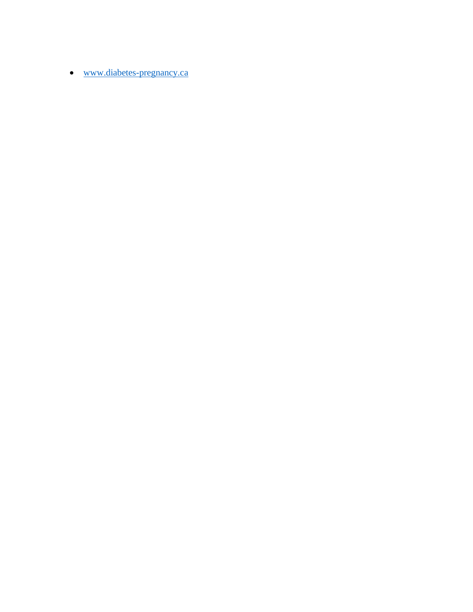• [www.diabetes-pregnancy.ca](http://www.diabetes-pregnancy.ca/)